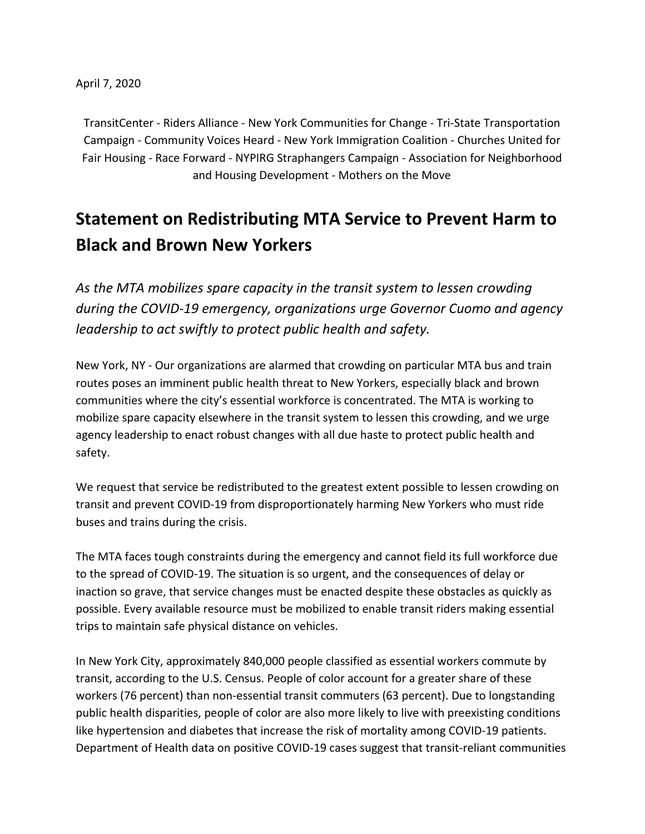TransitCenter - Riders Alliance - New York Communities for Change - Tri-State Transportation Campaign - Community Voices Heard - New York Immigration Coalition - Churches United for Fair Housing - Race Forward - NYPIRG Straphangers Campaign - Association for Neighborhood and Housing Development - Mothers on the Move

## **Statement on Redistributing MTA Service to Prevent Harm to Black and Brown New Yorkers**

*As the MTA mobilizes spare capacity in the transit system to lessen crowding during the COVID-19 emergency, organizations urge Governor Cuomo and agency leadership to act swiftly to protect public health and safety.*

New York, NY - Our organizations are alarmed that crowding on particular MTA bus and train routes poses an imminent public health threat to New Yorkers, especially black and brown communities where the city's essential workforce is concentrated. The MTA is working to mobilize spare capacity elsewhere in the transit system to lessen this crowding, and we urge agency leadership to enact robust changes with all due haste to protect public health and safety.

We request that service be redistributed to the greatest extent possible to lessen crowding on transit and prevent COVID-19 from disproportionately harming New Yorkers who must ride buses and trains during the crisis.

The MTA faces tough constraints during the emergency and cannot field its full workforce due to the spread of COVID-19. The situation is so urgent, and the consequences of delay or inaction so grave, that service changes must be enacted despite these obstacles as quickly as possible. Every available resource must be mobilized to enable transit riders making essential trips to maintain safe physical distance on vehicles.

In New York City, approximately 840,000 people classified as essential workers commute by transit, according to the U.S. Census. People of color account for a greater share of these workers (76 percent) than non-essential transit commuters (63 percent). Due to longstanding public health disparities, people of color are also more likely to live with preexisting conditions like hypertension and diabetes that increase the risk of mortality among COVID-19 patients. Department of Health data on positive COVID-19 cases suggest that transit-reliant communities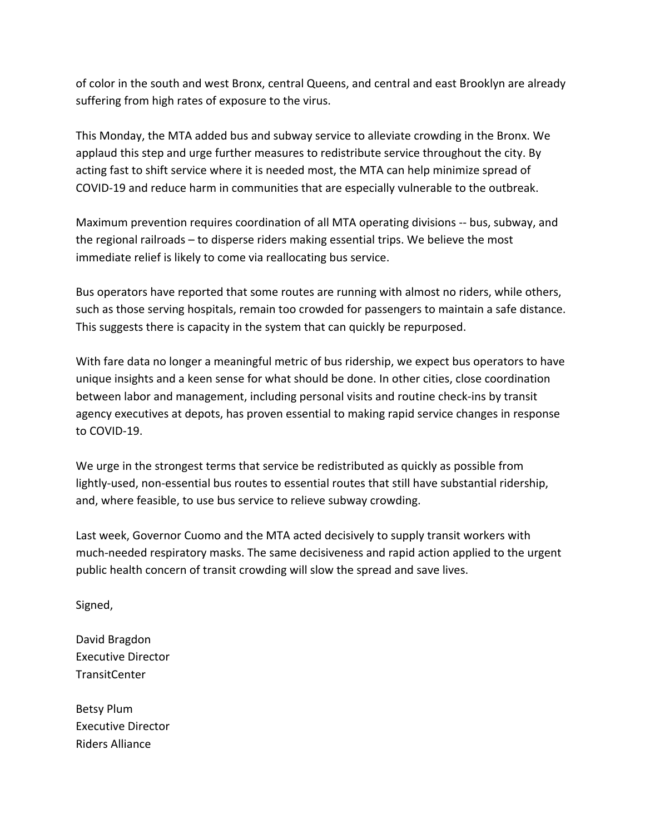of color in the south and west Bronx, central Queens, and central and east Brooklyn are already suffering from high rates of exposure to the virus.

This Monday, the MTA added bus and subway service to alleviate crowding in the Bronx. We applaud this step and urge further measures to redistribute service throughout the city. By acting fast to shift service where it is needed most, the MTA can help minimize spread of COVID-19 and reduce harm in communities that are especially vulnerable to the outbreak.

Maximum prevention requires coordination of all MTA operating divisions -- bus, subway, and the regional railroads – to disperse riders making essential trips. We believe the most immediate relief is likely to come via reallocating bus service.

Bus operators have reported that some routes are running with almost no riders, while others, such as those serving hospitals, remain too crowded for passengers to maintain a safe distance. This suggests there is capacity in the system that can quickly be repurposed.

With fare data no longer a meaningful metric of bus ridership, we expect bus operators to have unique insights and a keen sense for what should be done. In other cities, close coordination between labor and management, including personal visits and routine check-ins by transit agency executives at depots, has proven essential to making rapid service changes in response to COVID-19.

We urge in the strongest terms that service be redistributed as quickly as possible from lightly-used, non-essential bus routes to essential routes that still have substantial ridership, and, where feasible, to use bus service to relieve subway crowding.

Last week, Governor Cuomo and the MTA acted decisively to supply transit workers with much-needed respiratory masks. The same decisiveness and rapid action applied to the urgent public health concern of transit crowding will slow the spread and save lives.

Signed,

David Bragdon Executive Director TransitCenter

Betsy Plum Executive Director Riders Alliance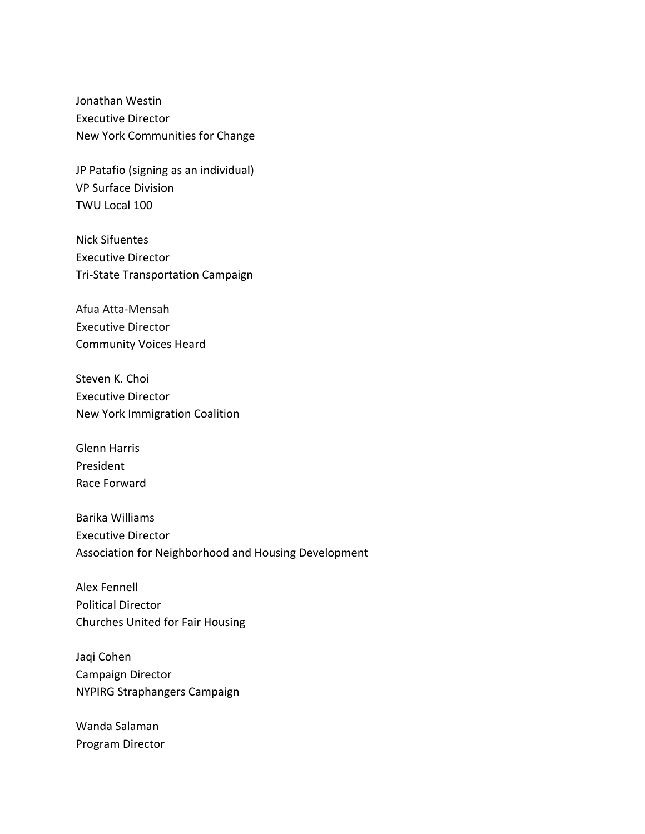Jonathan Westin Executive Director New York Communities for Change

JP Patafio (signing as an individual) VP Surface Division TWU Local 100

Nick Sifuentes Executive Director Tri-State Transportation Campaign

Afua Atta-Mensah Executive Director Community Voices Heard

Steven K. Choi Executive Director New York Immigration Coalition

Glenn Harris President Race Forward

Barika Williams Executive Director Association for Neighborhood and Housing Development

Alex Fennell Political Director Churches United for Fair Housing

Jaqi Cohen Campaign Director NYPIRG Straphangers Campaign

Wanda Salaman Program Director